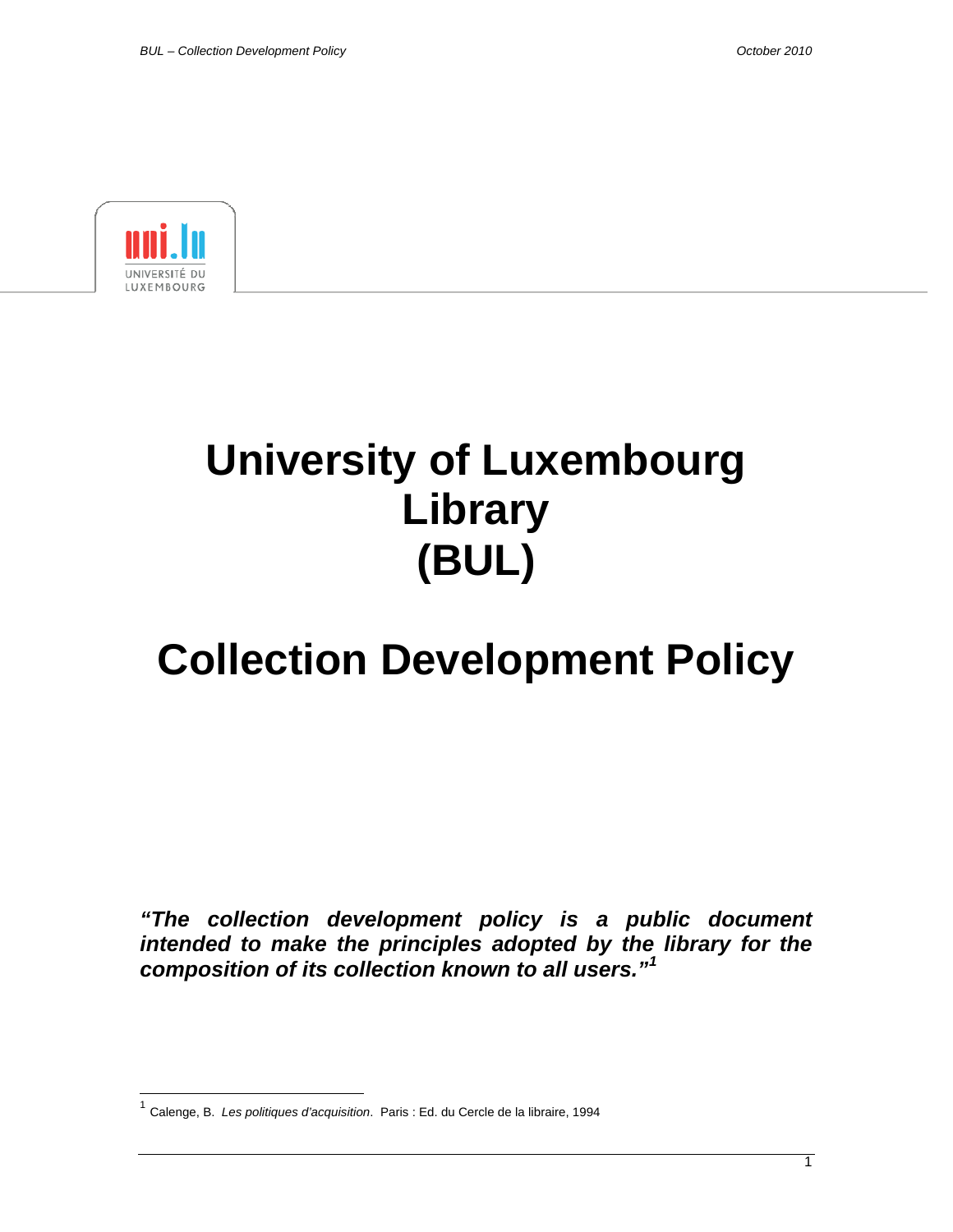

 $\overline{a}$ 

# **University of Luxembourg Library (BUL)**

## **Collection Development Policy**

*"The collection development policy is a public document intended to make the principles adopted by the library for the composition of its collection known to all users."[1](#page-0-0)*

<span id="page-0-0"></span><sup>1</sup> Calenge, B. *Les politiques d'acquisition*. Paris : Ed. du Cercle de la libraire, 1994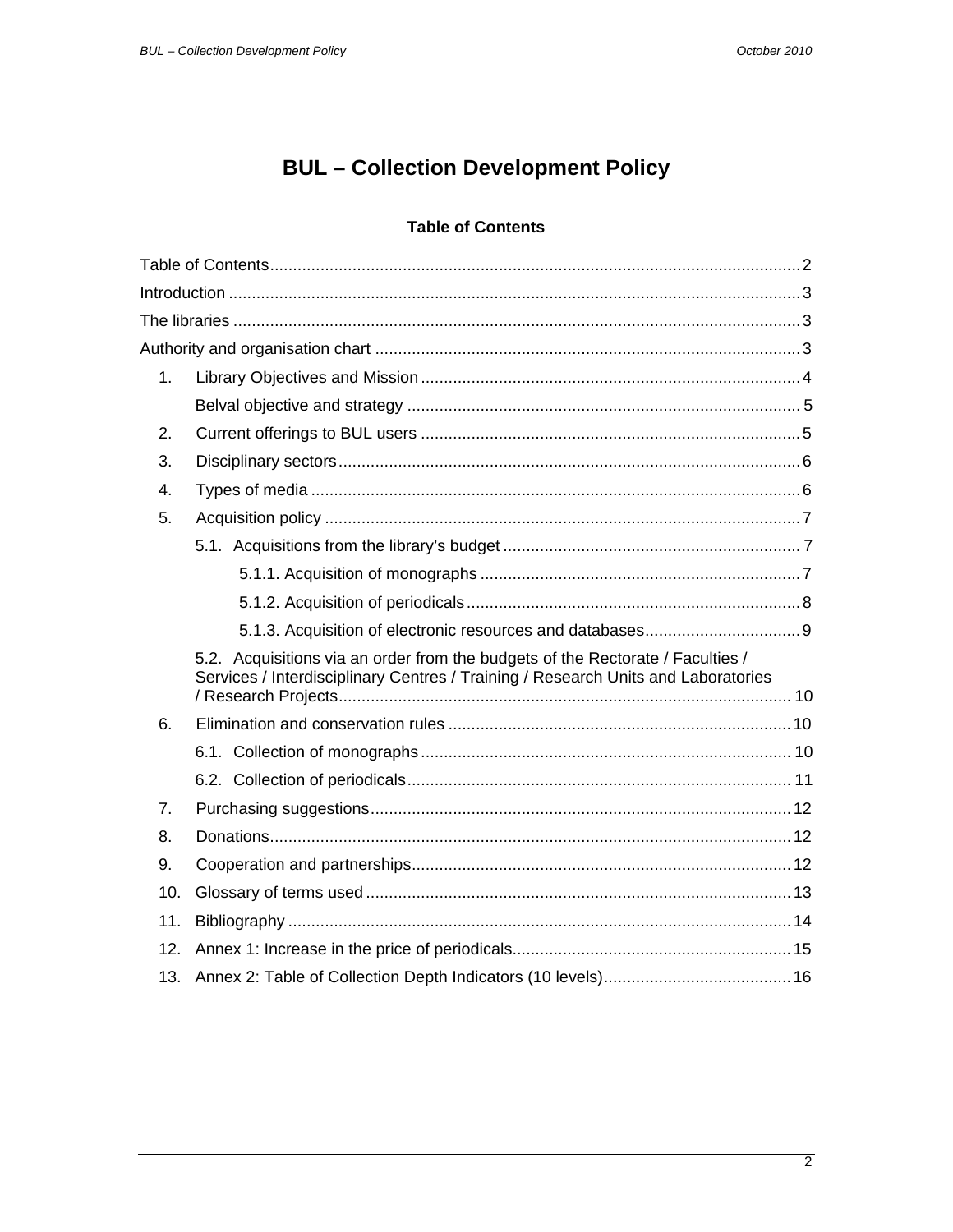## **BUL** - Collection Development Policy

#### **Table of Contents**

<span id="page-1-0"></span>

| 1.  |                                                                                                                                                                     |  |  |
|-----|---------------------------------------------------------------------------------------------------------------------------------------------------------------------|--|--|
|     |                                                                                                                                                                     |  |  |
| 2.  |                                                                                                                                                                     |  |  |
| 3.  |                                                                                                                                                                     |  |  |
| 4.  |                                                                                                                                                                     |  |  |
| 5.  |                                                                                                                                                                     |  |  |
|     |                                                                                                                                                                     |  |  |
|     |                                                                                                                                                                     |  |  |
|     |                                                                                                                                                                     |  |  |
|     |                                                                                                                                                                     |  |  |
|     | 5.2. Acquisitions via an order from the budgets of the Rectorate / Faculties /<br>Services / Interdisciplinary Centres / Training / Research Units and Laboratories |  |  |
| 6.  |                                                                                                                                                                     |  |  |
|     |                                                                                                                                                                     |  |  |
|     |                                                                                                                                                                     |  |  |
| 7.  |                                                                                                                                                                     |  |  |
| 8.  |                                                                                                                                                                     |  |  |
| 9.  |                                                                                                                                                                     |  |  |
| 10. |                                                                                                                                                                     |  |  |
| 11. |                                                                                                                                                                     |  |  |
| 12. |                                                                                                                                                                     |  |  |
| 13. |                                                                                                                                                                     |  |  |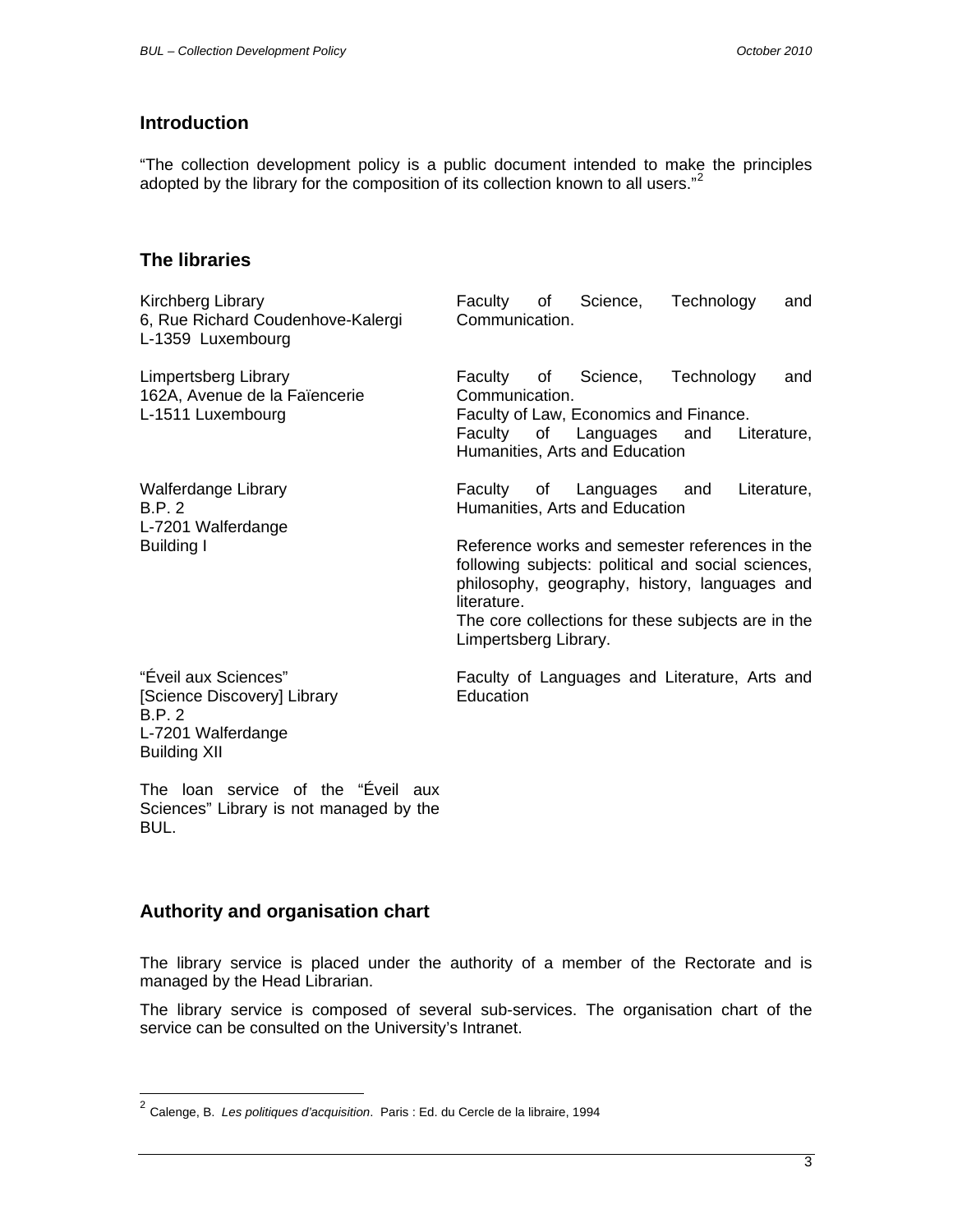## <span id="page-2-0"></span>**Introduction**

"The collection development policy is a public document intended to make the principles adopted by the library for the composition of its collection known to all users."<sup>[2](#page-2-1)</sup>

#### **The libraries**

| Kirchberg Library<br>6, Rue Richard Coudenhove-Kalergi<br>L-1359 Luxembourg                                       | Faculty of<br>Science, Technology<br>and<br>Communication.                                                                                                                                                                                                                                                                       |
|-------------------------------------------------------------------------------------------------------------------|----------------------------------------------------------------------------------------------------------------------------------------------------------------------------------------------------------------------------------------------------------------------------------------------------------------------------------|
| Limpertsberg Library<br>162A, Avenue de la Faïencerie<br>L-1511 Luxembourg                                        | Faculty of Science, Technology<br>and<br>Communication.<br>Faculty of Law, Economics and Finance.<br>of Languages and<br>Faculty<br>Literature,<br>Humanities, Arts and Education                                                                                                                                                |
| Walferdange Library<br><b>B.P. 2</b><br>L-7201 Walferdange<br>Building I                                          | Faculty of Languages and<br>Literature,<br>Humanities, Arts and Education<br>Reference works and semester references in the<br>following subjects: political and social sciences,<br>philosophy, geography, history, languages and<br>literature.<br>The core collections for these subjects are in the<br>Limpertsberg Library. |
| "Éveil aux Sciences"<br>[Science Discovery] Library<br><b>B.P. 2</b><br>L-7201 Walferdange<br><b>Building XII</b> | Faculty of Languages and Literature, Arts and<br>Education                                                                                                                                                                                                                                                                       |

The loan service of the "Éveil aux Sciences" Library is not managed by the BUL.

#### **Authority and organisation chart**

 $\overline{a}$ 

The library service is placed under the authority of a member of the Rectorate and is managed by the Head Librarian.

The library service is composed of several sub-services. The organisation chart of the service can be consulted on the University's Intranet.

<span id="page-2-1"></span><sup>2</sup> Calenge, B. *Les politiques d'acquisition*. Paris : Ed. du Cercle de la libraire, 1994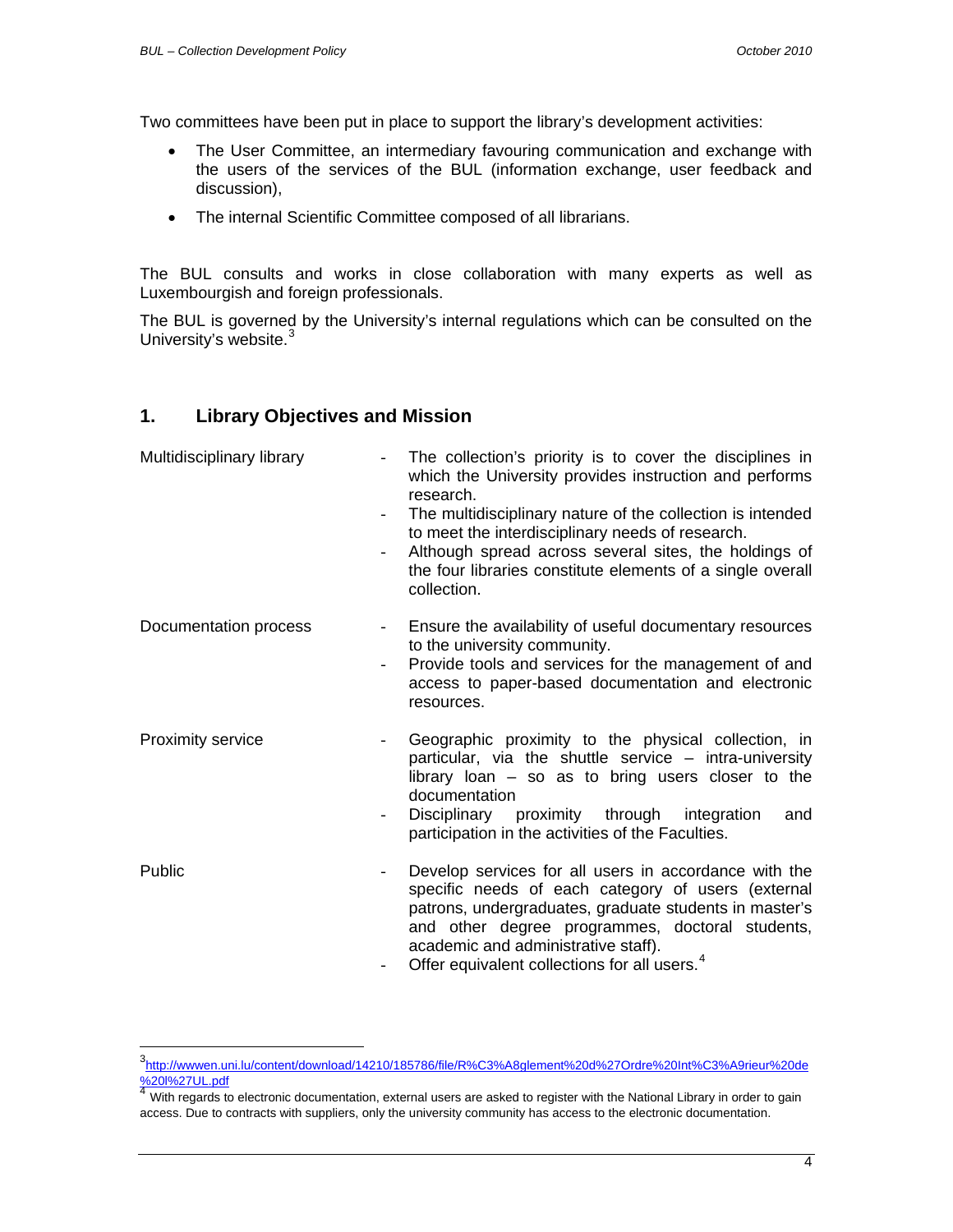<span id="page-3-0"></span>Two committees have been put in place to support the library's development activities:

- The User Committee, an intermediary favouring communication and exchange with the users of the services of the BUL (information exchange, user feedback and discussion),
- The internal Scientific Committee composed of all librarians.

The BUL consults and works in close collaboration with many experts as well as Luxembourgish and foreign professionals.

The BUL is governed by the University's internal regulations which can be consulted on the University's website.<sup>[3](#page-3-1)</sup>

#### **1. Library Objectives and Mission**

| Multidisciplinary library | The collection's priority is to cover the disciplines in<br>which the University provides instruction and performs<br>research.<br>The multidisciplinary nature of the collection is intended<br>to meet the interdisciplinary needs of research.<br>Although spread across several sites, the holdings of<br>the four libraries constitute elements of a single overall<br>collection. |
|---------------------------|-----------------------------------------------------------------------------------------------------------------------------------------------------------------------------------------------------------------------------------------------------------------------------------------------------------------------------------------------------------------------------------------|
| Documentation process     | Ensure the availability of useful documentary resources<br>to the university community.<br>Provide tools and services for the management of and<br>$\overline{a}$<br>access to paper-based documentation and electronic<br>resources.                                                                                                                                                   |
| Proximity service         | Geographic proximity to the physical collection, in<br>particular, via the shuttle service - intra-university<br>library loan $-$ so as to bring users closer to the<br>documentation<br>Disciplinary proximity through integration<br>and<br>participation in the activities of the Faculties.                                                                                         |
| Public                    | Develop services for all users in accordance with the<br>specific needs of each category of users (external<br>patrons, undergraduates, graduate students in master's<br>and other degree programmes, doctoral students,<br>academic and administrative staff).<br>Offer equivalent collections for all users. <sup>4</sup>                                                             |

<span id="page-3-1"></span> 3 [http://wwwen.uni.lu/content/download/14210/185786/file/R%C3%A8glement%20d%27Ordre%20Int%C3%A9rieur%20de](http://wwwen.uni.lu/content/download/14210/185786/file/R%C3%A8glement%20d%27Ordre%20Int%C3%A9rieur%20de%20l%27UL.pdf) [%20l%27UL.pdf](http://wwwen.uni.lu/content/download/14210/185786/file/R%C3%A8glement%20d%27Ordre%20Int%C3%A9rieur%20de%20l%27UL.pdf)<br><sup>[4](http://wwwen.uni.lu/content/download/14210/185786/file/R%C3%A8glement%20d%27Ordre%20Int%C3%A9rieur%20de%20l%27UL.pdf)</sup> With regards to electronic documentation, external users are asked to register with the National Library in order to gain

<span id="page-3-2"></span>access. Due to contracts with suppliers, only the university community has access to the electronic documentation.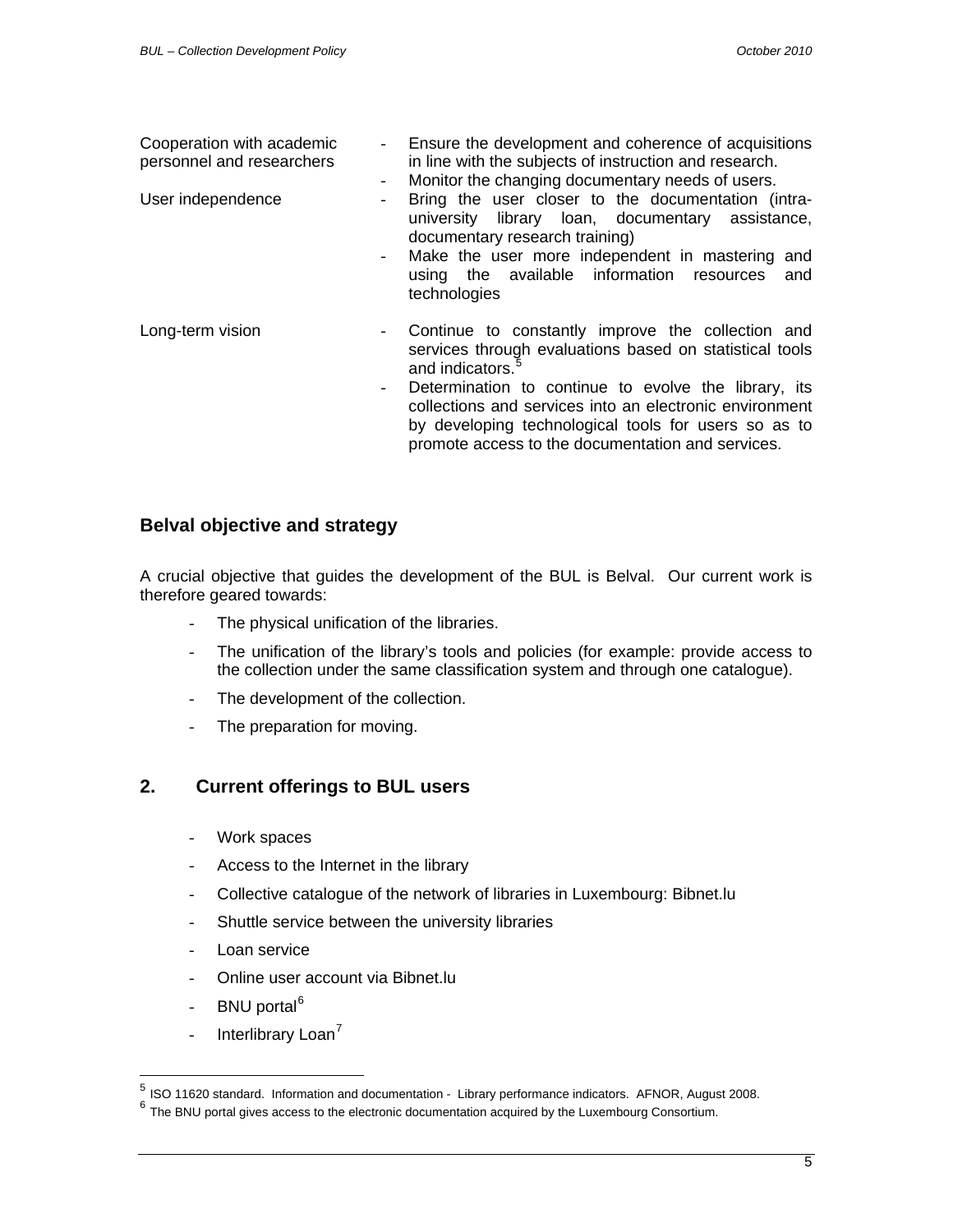<span id="page-4-0"></span>

| Cooperation with academic<br>personnel and researchers | - Ensure the development and coherence of acquisitions<br>in line with the subjects of instruction and research.<br>Monitor the changing documentary needs of users.<br>$ \,$                                                                                                                                                                                                               |  |  |  |
|--------------------------------------------------------|---------------------------------------------------------------------------------------------------------------------------------------------------------------------------------------------------------------------------------------------------------------------------------------------------------------------------------------------------------------------------------------------|--|--|--|
| User independence                                      | Bring the user closer to the documentation (intra-<br>university library loan, documentary assistance,<br>documentary research training)<br>Make the user more independent in mastering and<br>using the available information resources<br>and<br>technologies                                                                                                                             |  |  |  |
| Long-term vision                                       | Continue to constantly improve the collection and<br>$\overline{\phantom{a}}$<br>services through evaluations based on statistical tools<br>and indicators.<br>Determination to continue to evolve the library, its<br>collections and services into an electronic environment<br>by developing technological tools for users so as to<br>promote access to the documentation and services. |  |  |  |

#### **Belval objective and strategy**

A crucial objective that guides the development of the BUL is Belval. Our current work is therefore geared towards:

- The physical unification of the libraries.
- The unification of the library's tools and policies (for example: provide access to the collection under the same classification system and through one catalogue).
- The development of the collection.
- The preparation for moving.

## **2. Current offerings to BUL users**

- Work spaces
- Access to the Internet in the library
- Collective catalogue of the network of libraries in Luxembourg: Bibnet.lu
- Shuttle service between the university libraries
- Loan service
- Online user account via Bibnet.lu
- BNU portal<sup>[6](#page-4-2)</sup>

<span id="page-4-3"></span> $\overline{a}$ 

- Interlibrary Loan<sup>[7](#page-4-3)</sup>

 $<sup>5</sup>$  ISO 11620 standard. Information and documentation - Library performance indicators. AFNOR, August 2008.</sup>

<span id="page-4-2"></span><span id="page-4-1"></span><sup>&</sup>lt;sup>6</sup> The BNU portal gives access to the electronic documentation acquired by the Luxembourg Consortium.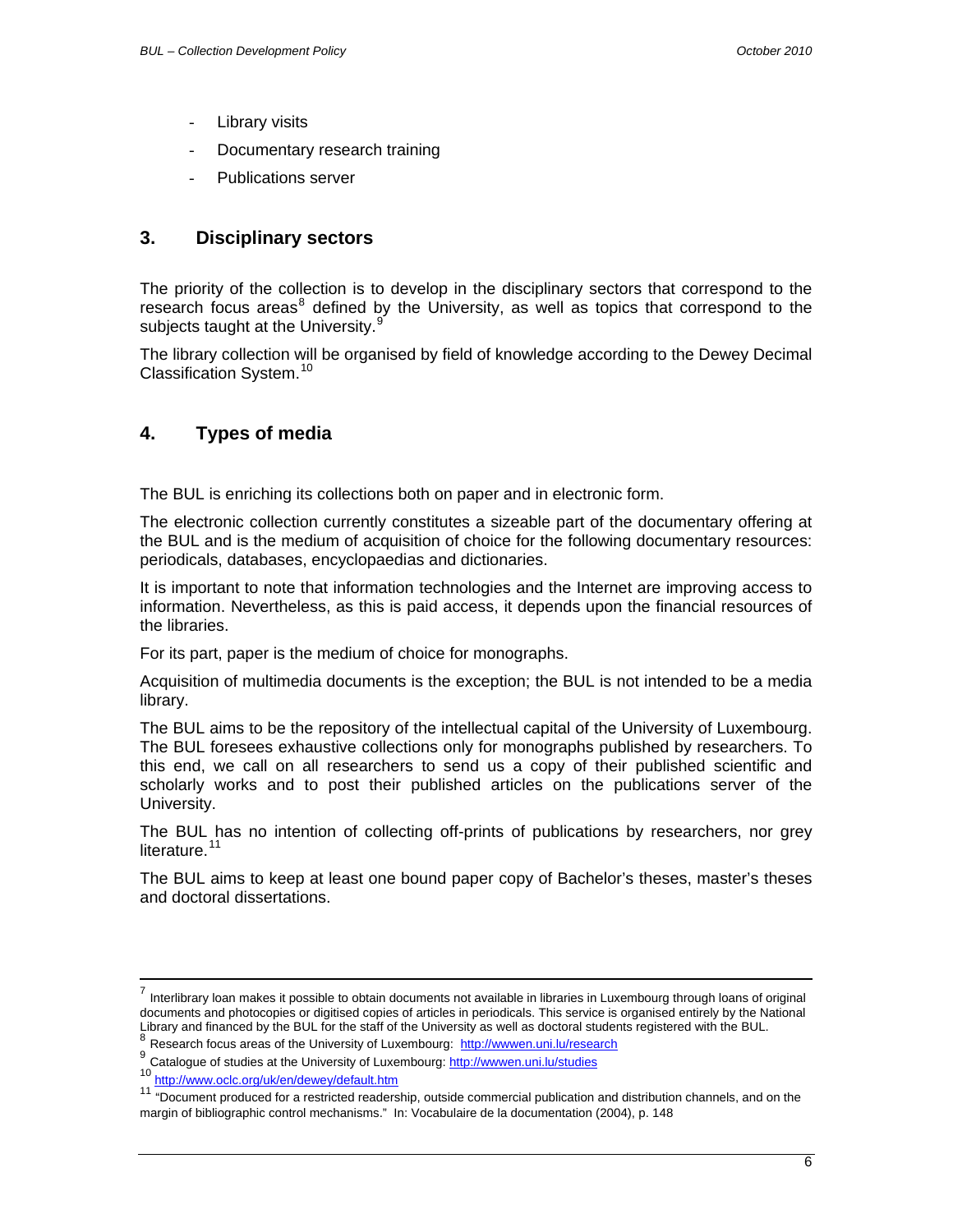- <span id="page-5-0"></span>Library visits
- Documentary research training
- Publications server

## **3. Disciplinary sectors**

The priority of the collection is to develop in the disciplinary sectors that correspond to the research focus areas<sup>[8](#page-5-1)</sup> defined by the University, as well as topics that correspond to the subjects taught at the University.<sup>[9](#page-5-2)</sup>

The library collection will be organised by field of knowledge according to the Dewey Decimal Classification System.[10](#page-5-3)

## **4. Types of media**

The BUL is enriching its collections both on paper and in electronic form.

The electronic collection currently constitutes a sizeable part of the documentary offering at the BUL and is the medium of acquisition of choice for the following documentary resources: periodicals, databases, encyclopaedias and dictionaries.

It is important to note that information technologies and the Internet are improving access to information. Nevertheless, as this is paid access, it depends upon the financial resources of the libraries.

For its part, paper is the medium of choice for monographs.

Acquisition of multimedia documents is the exception; the BUL is not intended to be a media library.

The BUL aims to be the repository of the intellectual capital of the University of Luxembourg. The BUL foresees exhaustive collections only for monographs published by researchers. To this end, we call on all researchers to send us a copy of their published scientific and scholarly works and to post their published articles on the publications server of the University.

The BUL has no intention of collecting off-prints of publications by researchers, nor grey literature.<sup>[11](#page-5-4)</sup>

The BUL aims to keep at least one bound paper copy of Bachelor's theses, master's theses and doctoral dissertations.

<span id="page-5-2"></span><span id="page-5-1"></span>

<sup>7</sup> Interlibrary loan makes it possible to obtain documents not available in libraries in Luxembourg through loans of original documents and photocopies or digitised copies of articles in periodicals. This service is organised entirely by the National Library and financed by the BUL for the staff of the University as well as doctoral students registered with the BUL.<br>
<sup>8</sup> Research focus areas of the University of Luxembourg: http://wwwen.uni.lu/research<br>
<sup>9</sup> Catalogue o

<span id="page-5-4"></span><span id="page-5-3"></span><sup>&</sup>lt;sup>11</sup> "Document produced for a restricted readership, outside commercial publication and distribution channels, and on the margin of bibliographic control mechanisms." In: Vocabulaire de la documentation (2004), p. 148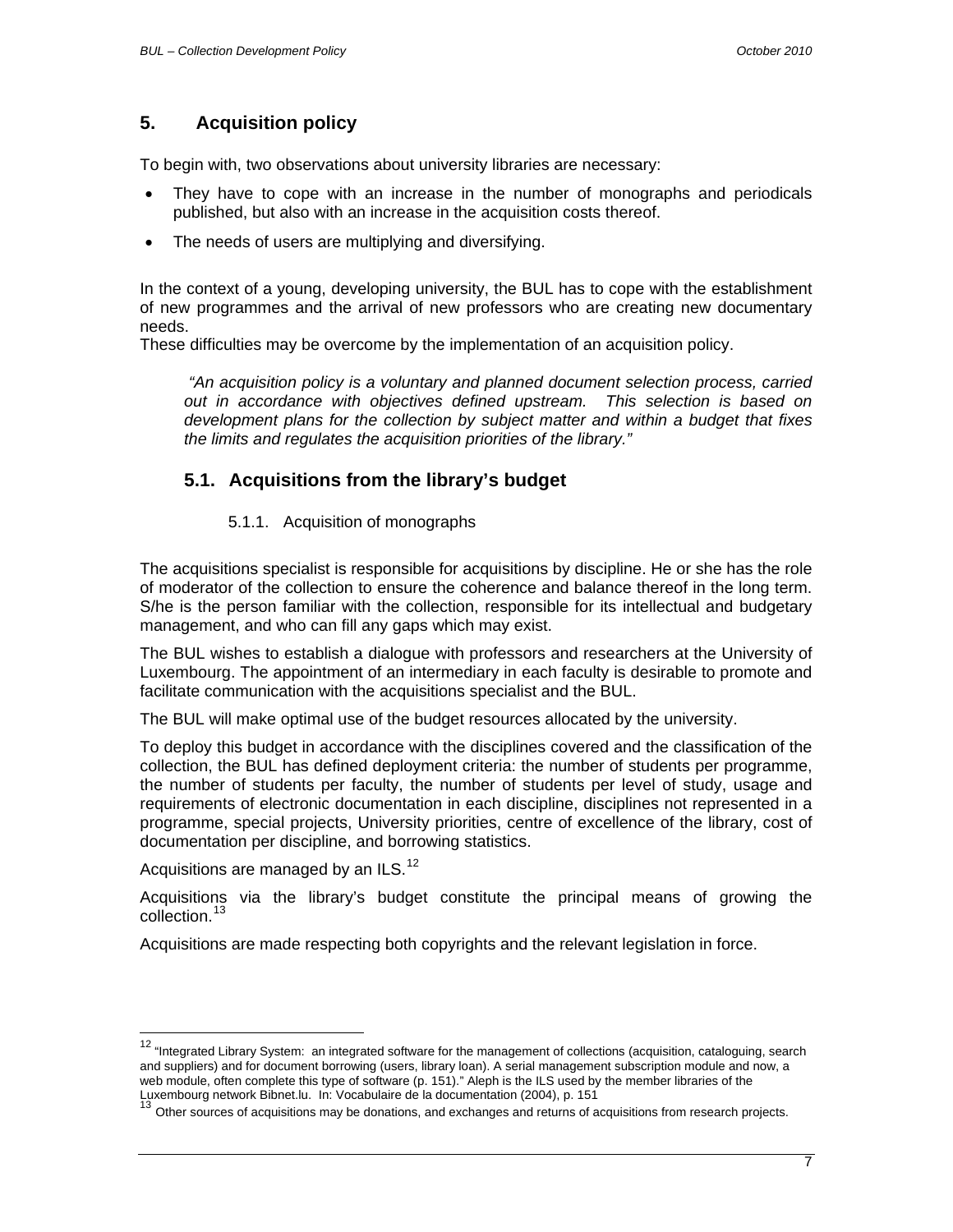## <span id="page-6-0"></span>**5. Acquisition policy**

To begin with, two observations about university libraries are necessary:

- They have to cope with an increase in the number of monographs and periodicals published, but also with an increase in the acquisition costs thereof.
- The needs of users are multiplying and diversifying.

In the context of a young, developing university, the BUL has to cope with the establishment of new programmes and the arrival of new professors who are creating new documentary needs.

These difficulties may be overcome by the implementation of an acquisition policy.

 *"An acquisition policy is a voluntary and planned document selection process, carried out in accordance with objectives defined upstream. This selection is based on development plans for the collection by subject matter and within a budget that fixes the limits and regulates the acquisition priorities of the library."* 

## **5.1. Acquisitions from the library's budget**

#### 5.1.1. Acquisition of monographs

The acquisitions specialist is responsible for acquisitions by discipline. He or she has the role of moderator of the collection to ensure the coherence and balance thereof in the long term. S/he is the person familiar with the collection, responsible for its intellectual and budgetary management, and who can fill any gaps which may exist.

The BUL wishes to establish a dialogue with professors and researchers at the University of Luxembourg. The appointment of an intermediary in each faculty is desirable to promote and facilitate communication with the acquisitions specialist and the BUL.

The BUL will make optimal use of the budget resources allocated by the university.

To deploy this budget in accordance with the disciplines covered and the classification of the collection, the BUL has defined deployment criteria: the number of students per programme, the number of students per faculty, the number of students per level of study, usage and requirements of electronic documentation in each discipline, disciplines not represented in a programme, special projects, University priorities, centre of excellence of the library, cost of documentation per discipline, and borrowing statistics.

Acquisitions are managed by an ILS.<sup>[12](#page-6-1)</sup>

 $\overline{\phantom{a}}$ 

Acquisitions via the library's budget constitute the principal means of growing the collection.[13](#page-6-2)

Acquisitions are made respecting both copyrights and the relevant legislation in force.

<span id="page-6-1"></span><sup>&</sup>lt;sup>12</sup> "Integrated Library System: an integrated software for the management of collections (acquisition, cataloguing, search and suppliers) and for document borrowing (users, library loan). A serial management subscription module and now, a web module, often complete this type of software (p. 151)." Aleph is the ILS used by the member libraries of the Luxembourg network Bibnet.lu. In: Vocabulaire de la documentation (2004), p. 151<br><sup>13</sup> Other conserves of

<span id="page-6-2"></span>Other sources of acquisitions may be donations, and exchanges and returns of acquisitions from research projects.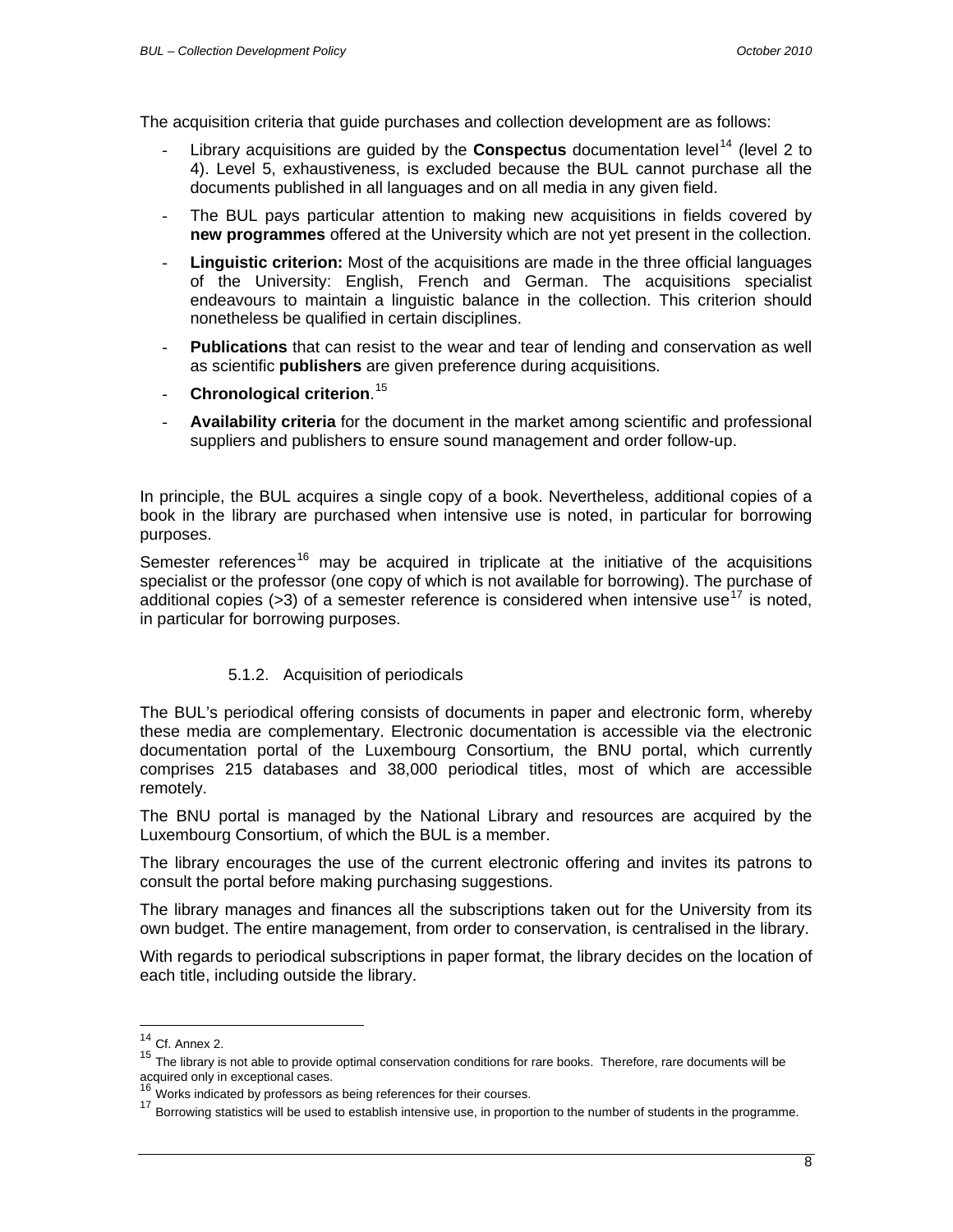<span id="page-7-0"></span>The acquisition criteria that guide purchases and collection development are as follows:

- Library acquisitions are guided by the **Conspectus** documentation level<sup>[14](#page-7-1)</sup> (level 2 to 4). Level 5, exhaustiveness, is excluded because the BUL cannot purchase all the documents published in all languages and on all media in any given field.
- The BUL pays particular attention to making new acquisitions in fields covered by **new programmes** offered at the University which are not yet present in the collection.
- **Linguistic criterion:** Most of the acquisitions are made in the three official languages of the University: English, French and German. The acquisitions specialist endeavours to maintain a linguistic balance in the collection. This criterion should nonetheless be qualified in certain disciplines.
- **Publications** that can resist to the wear and tear of lending and conservation as well as scientific **publishers** are given preference during acquisitions.
- **Chronological criterion**. [15](#page-7-2)
- **Availability criteria** for the document in the market among scientific and professional suppliers and publishers to ensure sound management and order follow-up.

In principle, the BUL acquires a single copy of a book. Nevertheless, additional copies of a book in the library are purchased when intensive use is noted, in particular for borrowing purposes.

Semester references<sup>[16](#page-7-3)</sup> may be acquired in triplicate at the initiative of the acquisitions specialist or the professor (one copy of which is not available for borrowing). The purchase of additional copies ( $>3$ ) of a semester reference is considered when intensive use<sup>[17](#page-7-4)</sup> is noted, in particular for borrowing purposes.

#### 5.1.2. Acquisition of periodicals

The BUL's periodical offering consists of documents in paper and electronic form, whereby these media are complementary. Electronic documentation is accessible via the electronic documentation portal of the Luxembourg Consortium, the BNU portal, which currently comprises 215 databases and 38,000 periodical titles, most of which are accessible remotely.

The BNU portal is managed by the National Library and resources are acquired by the Luxembourg Consortium, of which the BUL is a member.

The library encourages the use of the current electronic offering and invites its patrons to consult the portal before making purchasing suggestions.

The library manages and finances all the subscriptions taken out for the University from its own budget. The entire management, from order to conservation, is centralised in the library.

With regards to periodical subscriptions in paper format, the library decides on the location of each title, including outside the library.

 $\overline{a}$ 

 $14$  Cf. Annex 2.

<span id="page-7-2"></span><span id="page-7-1"></span><sup>&</sup>lt;sup>15</sup> The library is not able to provide optimal conservation conditions for rare books. Therefore, rare documents will be

acquired only in exceptional cases.<br><sup>16</sup> Works indicated by professors as being references for their courses.

<span id="page-7-4"></span><span id="page-7-3"></span><sup>17</sup> Borrowing statistics will be used to establish intensive use, in proportion to the number of students in the programme.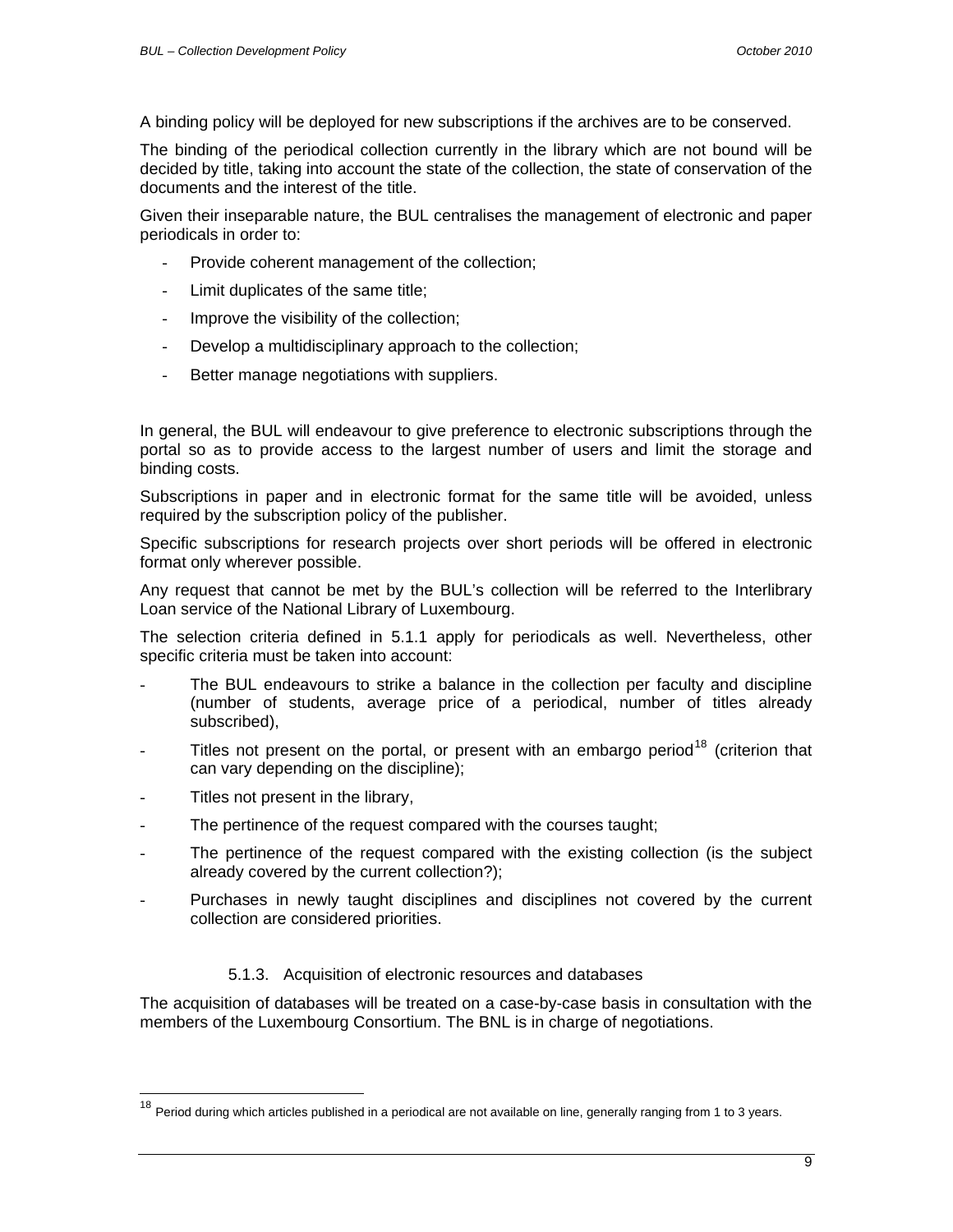<span id="page-8-0"></span>A binding policy will be deployed for new subscriptions if the archives are to be conserved.

The binding of the periodical collection currently in the library which are not bound will be decided by title, taking into account the state of the collection, the state of conservation of the documents and the interest of the title.

Given their inseparable nature, the BUL centralises the management of electronic and paper periodicals in order to:

- Provide coherent management of the collection;
- Limit duplicates of the same title;
- Improve the visibility of the collection;
- Develop a multidisciplinary approach to the collection;
- Better manage negotiations with suppliers.

In general, the BUL will endeavour to give preference to electronic subscriptions through the portal so as to provide access to the largest number of users and limit the storage and binding costs.

Subscriptions in paper and in electronic format for the same title will be avoided, unless required by the subscription policy of the publisher.

Specific subscriptions for research projects over short periods will be offered in electronic format only wherever possible.

Any request that cannot be met by the BUL's collection will be referred to the Interlibrary Loan service of the National Library of Luxembourg.

The selection criteria defined in 5.1.1 apply for periodicals as well. Nevertheless, other specific criteria must be taken into account:

- The BUL endeavours to strike a balance in the collection per faculty and discipline (number of students, average price of a periodical, number of titles already subscribed),
- Titles not present on the portal, or present with an embargo period<sup>[18](#page-8-1)</sup> (criterion that can vary depending on the discipline);
- Titles not present in the library,

 $\overline{a}$ 

- The pertinence of the request compared with the courses taught;
- The pertinence of the request compared with the existing collection (is the subject already covered by the current collection?);
- Purchases in newly taught disciplines and disciplines not covered by the current collection are considered priorities.

#### 5.1.3. Acquisition of electronic resources and databases

The acquisition of databases will be treated on a case-by-case basis in consultation with the members of the Luxembourg Consortium. The BNL is in charge of negotiations.

<span id="page-8-1"></span> $18$  Period during which articles published in a periodical are not available on line, generally ranging from 1 to 3 years.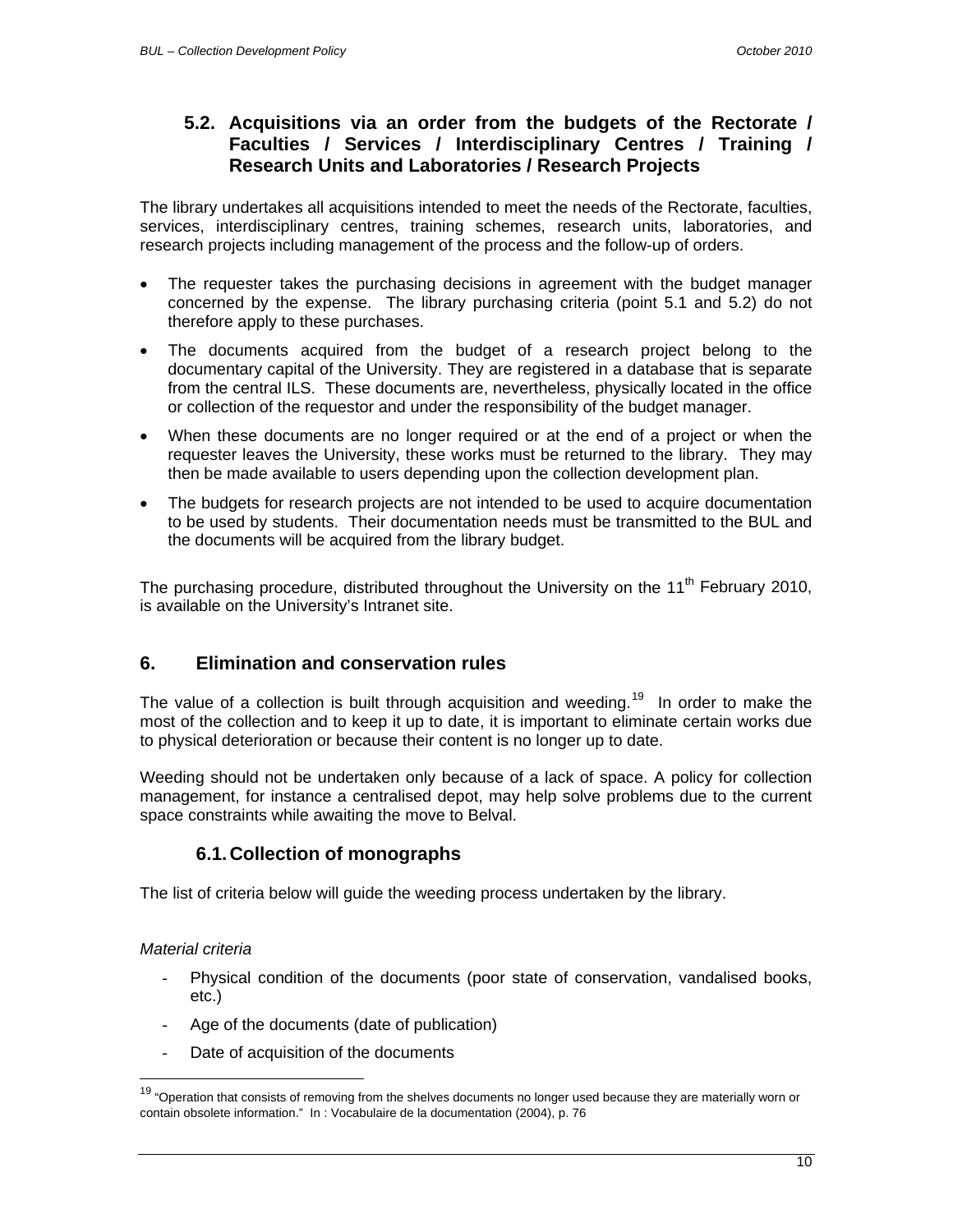## <span id="page-9-0"></span>**5.2. Acquisitions via an order from the budgets of the Rectorate / Faculties / Services / Interdisciplinary Centres / Training / Research Units and Laboratories / Research Projects**

The library undertakes all acquisitions intended to meet the needs of the Rectorate, faculties, services, interdisciplinary centres, training schemes, research units, laboratories, and research projects including management of the process and the follow-up of orders.

- The requester takes the purchasing decisions in agreement with the budget manager concerned by the expense. The library purchasing criteria (point 5.1 and 5.2) do not therefore apply to these purchases.
- The documents acquired from the budget of a research project belong to the documentary capital of the University. They are registered in a database that is separate from the central ILS. These documents are, nevertheless, physically located in the office or collection of the requestor and under the responsibility of the budget manager.
- When these documents are no longer required or at the end of a project or when the requester leaves the University, these works must be returned to the library. They may then be made available to users depending upon the collection development plan.
- The budgets for research projects are not intended to be used to acquire documentation to be used by students. Their documentation needs must be transmitted to the BUL and the documents will be acquired from the library budget.

The purchasing procedure, distributed throughout the University on the 11<sup>th</sup> February 2010. is available on the University's Intranet site.

## **6. Elimination and conservation rules**

The value of a collection is built through acquisition and weeding.<sup>[19](#page-9-1)</sup> In order to make the most of the collection and to keep it up to date, it is important to eliminate certain works due to physical deterioration or because their content is no longer up to date.

Weeding should not be undertaken only because of a lack of space. A policy for collection management, for instance a centralised depot, may help solve problems due to the current space constraints while awaiting the move to Belval.

## **6.1. Collection of monographs**

The list of criteria below will guide the weeding process undertaken by the library.

#### *Material criteria*

 $\overline{a}$ 

- Physical condition of the documents (poor state of conservation, vandalised books, etc.)
- Age of the documents (date of publication)
- Date of acquisition of the documents

<span id="page-9-1"></span><sup>&</sup>lt;sup>19</sup> "Operation that consists of removing from the shelves documents no longer used because they are materially worn or contain obsolete information." In : Vocabulaire de la documentation (2004), p. 76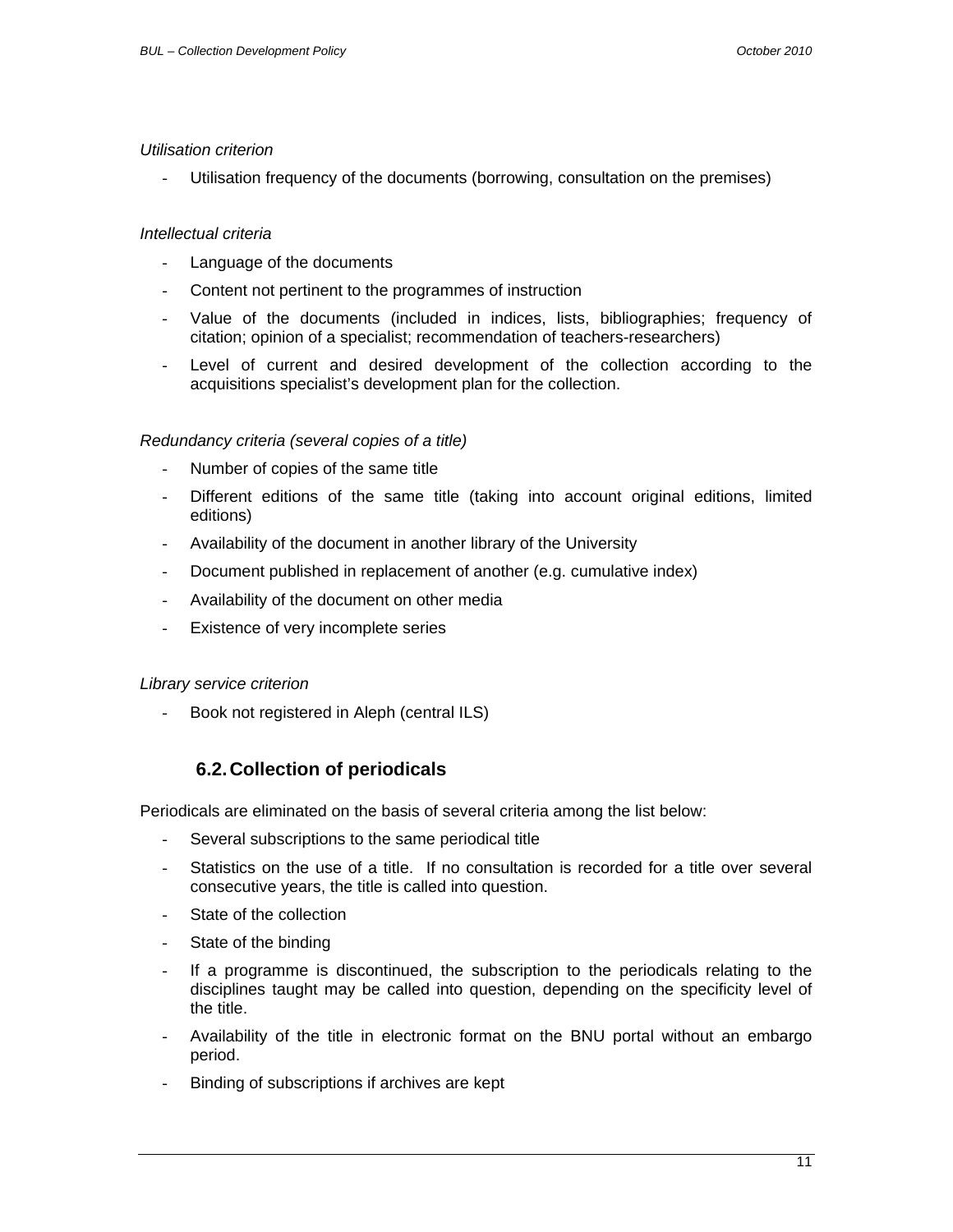#### <span id="page-10-0"></span>*Utilisation criterion*

Utilisation frequency of the documents (borrowing, consultation on the premises)

#### *Intellectual criteria*

- Language of the documents
- Content not pertinent to the programmes of instruction
- Value of the documents (included in indices, lists, bibliographies; frequency of citation; opinion of a specialist; recommendation of teachers-researchers)
- Level of current and desired development of the collection according to the acquisitions specialist's development plan for the collection.

#### *Redundancy criteria (several copies of a title)*

- Number of copies of the same title
- Different editions of the same title (taking into account original editions, limited editions)
- Availability of the document in another library of the University
- Document published in replacement of another (e.g. cumulative index)
- Availability of the document on other media
- Existence of very incomplete series

#### *Library service criterion*

Book not registered in Aleph (central ILS)

#### **6.2. Collection of periodicals**

Periodicals are eliminated on the basis of several criteria among the list below:

- Several subscriptions to the same periodical title
- Statistics on the use of a title. If no consultation is recorded for a title over several consecutive years, the title is called into question.
- State of the collection
- State of the binding
- If a programme is discontinued, the subscription to the periodicals relating to the disciplines taught may be called into question, depending on the specificity level of the title.
- Availability of the title in electronic format on the BNU portal without an embargo period.
- Binding of subscriptions if archives are kept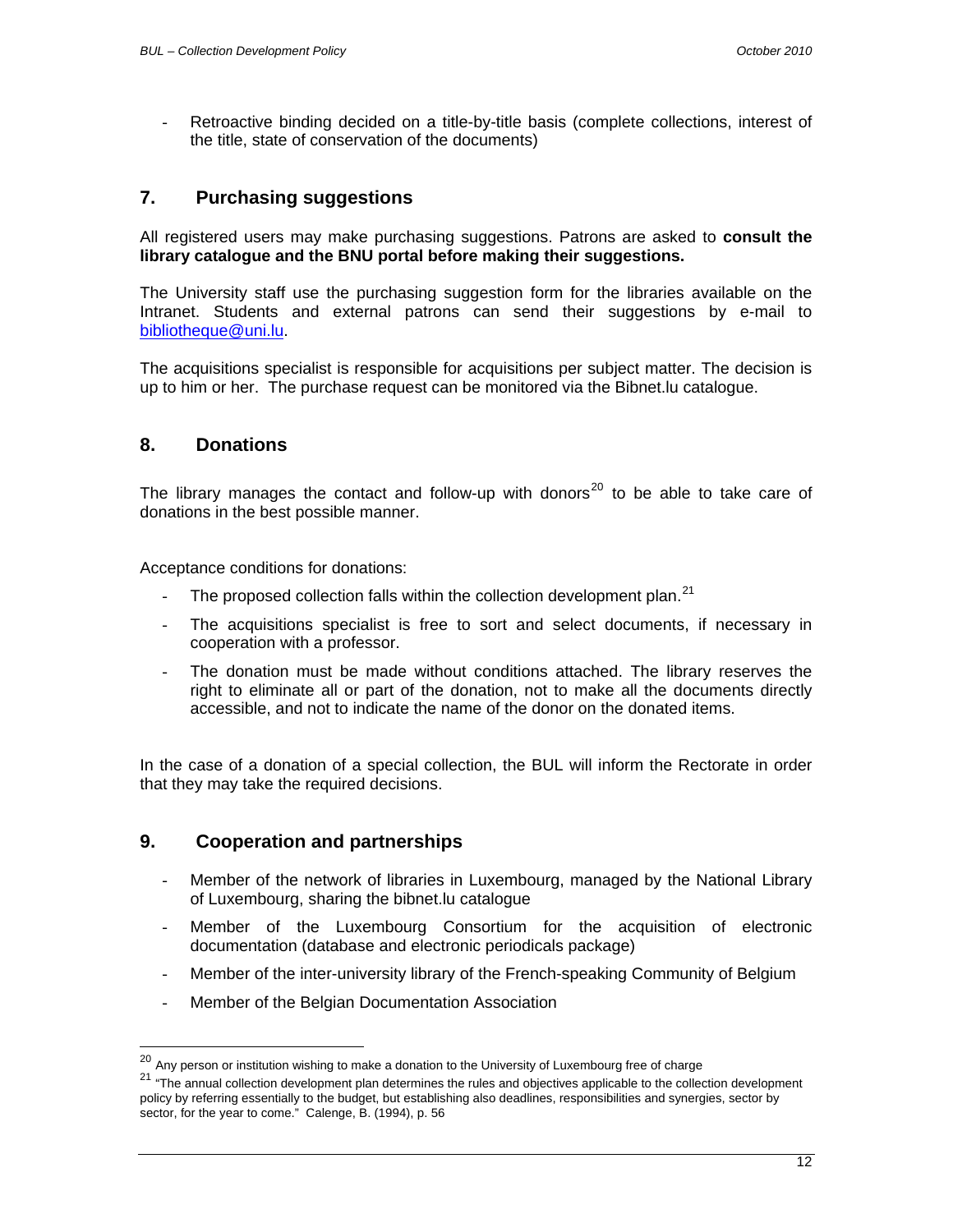<span id="page-11-0"></span>Retroactive binding decided on a title-by-title basis (complete collections, interest of the title, state of conservation of the documents)

## **7. Purchasing suggestions**

All registered users may make purchasing suggestions. Patrons are asked to **consult the library catalogue and the BNU portal before making their suggestions.** 

The University staff use the purchasing suggestion form for the libraries available on the Intranet. Students and external patrons can send their suggestions by e-mail to [bibliotheque@uni.lu](mailto:bibliotheque@uni.lu).

The acquisitions specialist is responsible for acquisitions per subject matter. The decision is up to him or her. The purchase request can be monitored via the Bibnet.lu catalogue.

#### **8. Donations**

 $\overline{a}$ 

The library manages the contact and follow-up with donors $^{20}$  $^{20}$  $^{20}$  to be able to take care of donations in the best possible manner.

Acceptance conditions for donations:

- The proposed collection falls within the collection development plan.<sup>[21](#page-11-2)</sup>
- The acquisitions specialist is free to sort and select documents, if necessary in cooperation with a professor.
- The donation must be made without conditions attached. The library reserves the right to eliminate all or part of the donation, not to make all the documents directly accessible, and not to indicate the name of the donor on the donated items.

In the case of a donation of a special collection, the BUL will inform the Rectorate in order that they may take the required decisions.

#### **9. Cooperation and partnerships**

- Member of the network of libraries in Luxembourg, managed by the National Library of Luxembourg, sharing the bibnet.lu catalogue
- Member of the Luxembourg Consortium for the acquisition of electronic documentation (database and electronic periodicals package)
- Member of the inter-university library of the French-speaking Community of Belgium
- Member of the Belgian Documentation Association

 $^{20}$  Any person or institution wishing to make a donation to the University of Luxembourg free of charge

<span id="page-11-2"></span><span id="page-11-1"></span><sup>&</sup>lt;sup>21</sup> "The annual collection development plan determines the rules and objectives applicable to the collection development policy by referring essentially to the budget, but establishing also deadlines, responsibilities and synergies, sector by sector, for the year to come." Calenge, B. (1994), p. 56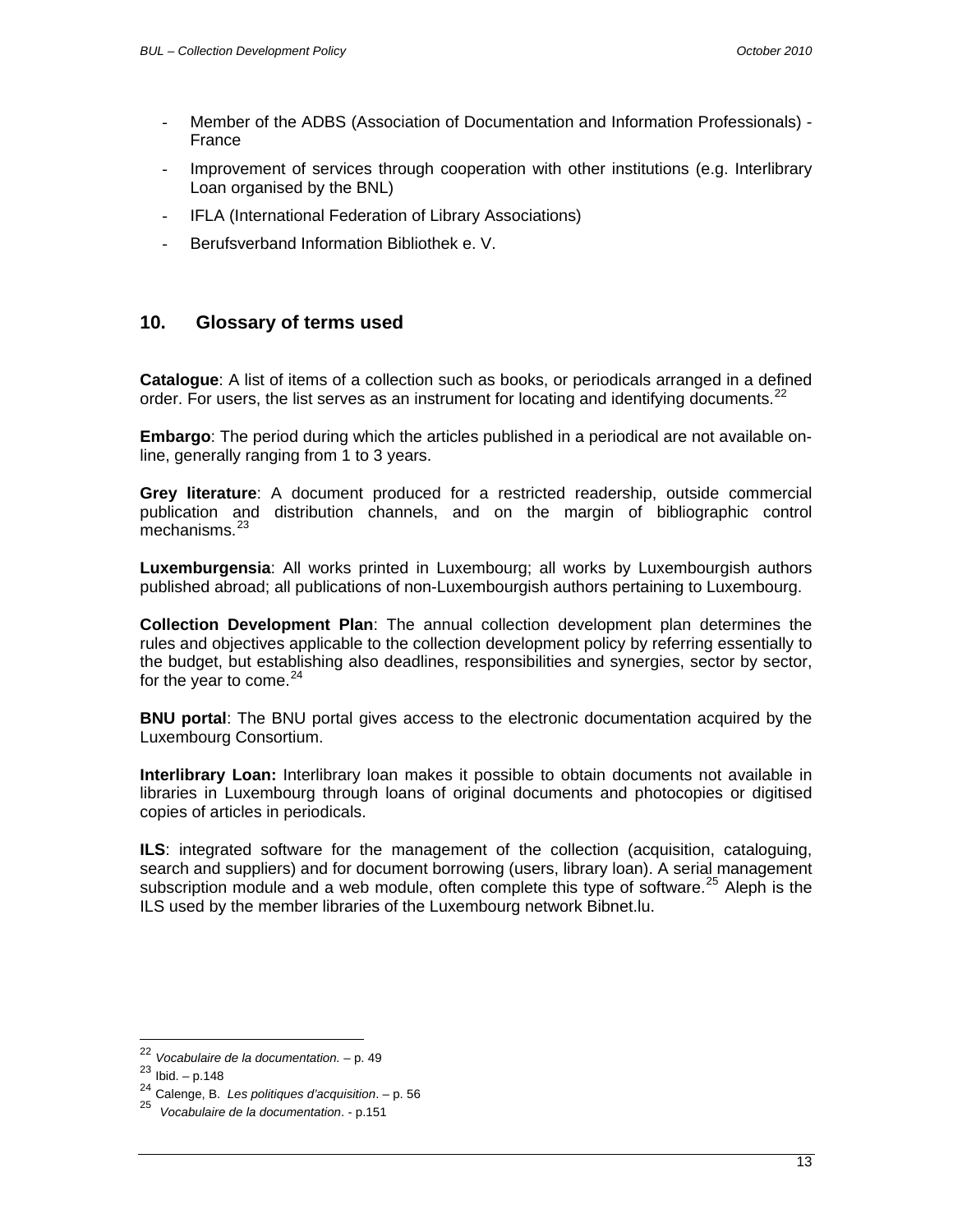- <span id="page-12-0"></span>- Member of the ADBS (Association of Documentation and Information Professionals) - France
- Improvement of services through cooperation with other institutions (e.g. Interlibrary Loan organised by the BNL)
- IFLA (International Federation of Library Associations)
- Berufsverband Information Bibliothek e. V.

## **10. Glossary of terms used**

**Catalogue**: A list of items of a collection such as books, or periodicals arranged in a defined order. For users, the list serves as an instrument for locating and identifying documents.<sup>[22](#page-12-1)</sup>

**Embargo**: The period during which the articles published in a periodical are not available online, generally ranging from 1 to 3 years.

**Grey literature**: A document produced for a restricted readership, outside commercial publication and distribution channels, and on the margin of bibliographic control mechanisms.<sup>[23](#page-12-2)</sup>

**Luxemburgensia**: All works printed in Luxembourg; all works by Luxembourgish authors published abroad; all publications of non-Luxembourgish authors pertaining to Luxembourg.

**Collection Development Plan**: The annual collection development plan determines the rules and objectives applicable to the collection development policy by referring essentially to the budget, but establishing also deadlines, responsibilities and synergies, sector by sector, for the year to come.  $24$ 

**BNU portal**: The BNU portal gives access to the electronic documentation acquired by the Luxembourg Consortium.

**Interlibrary Loan:** Interlibrary loan makes it possible to obtain documents not available in libraries in Luxembourg through loans of original documents and photocopies or digitised copies of articles in periodicals.

**ILS**: integrated software for the management of the collection (acquisition, cataloguing, search and suppliers) and for document borrowing (users, library loan). A serial management subscription module and a web module, often complete this type of software.<sup>[25](#page-12-4)</sup> Aleph is the ILS used by the member libraries of the Luxembourg network Bibnet.lu.

 $\overline{a}$ 

<sup>&</sup>lt;sup>22</sup> *Vocabulaire de la documentation.* – p. 49<br><sup>23</sup> Ibid. – p.148

<span id="page-12-2"></span><span id="page-12-1"></span><sup>24</sup> Calenge, B. *Les politiques d'acquisition*. – p. 56

<span id="page-12-4"></span><span id="page-12-3"></span><sup>25</sup> *Vocabulaire de la documentation*. - p.151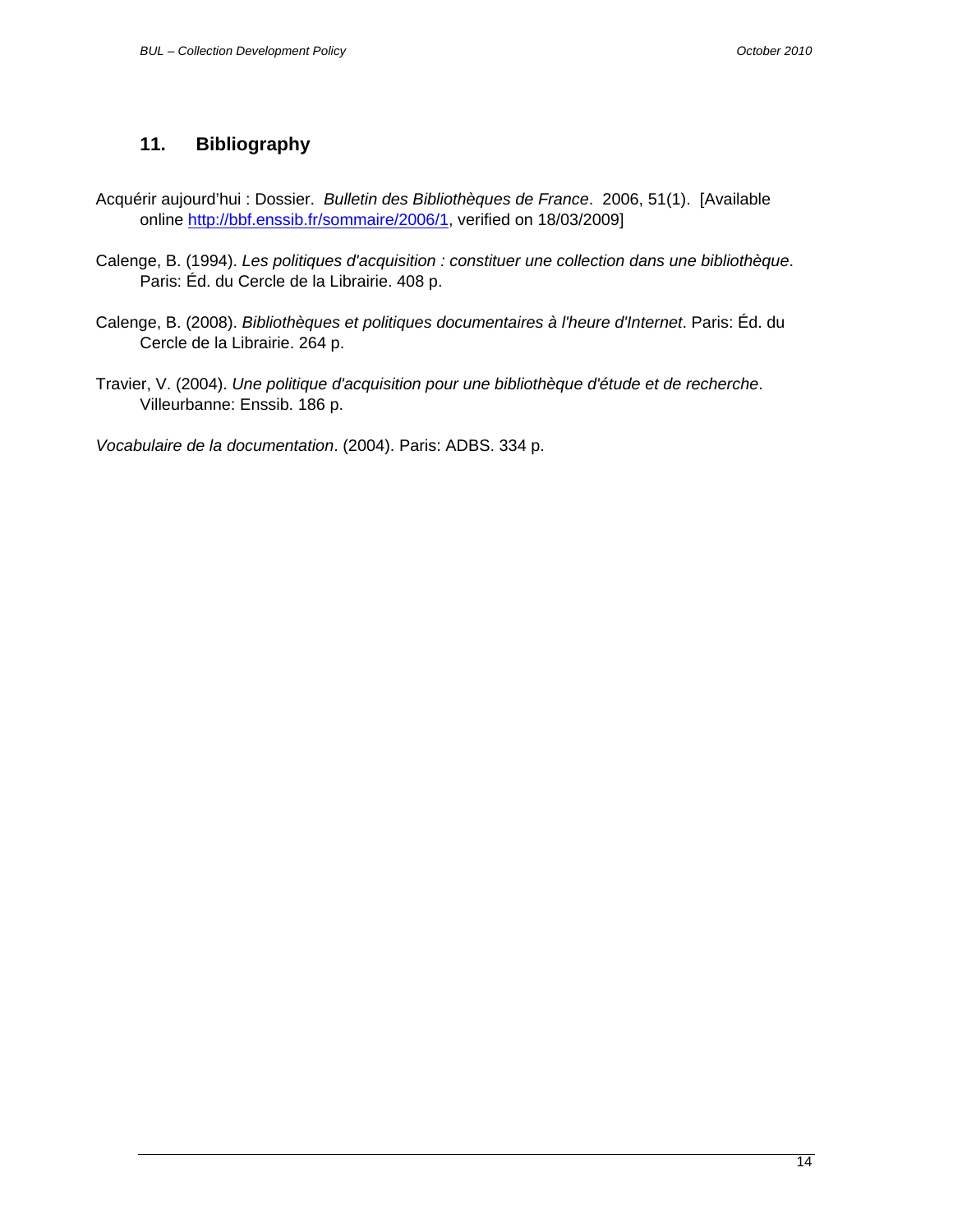## <span id="page-13-0"></span>**11. Bibliography**

- Acquérir aujourd'hui : Dossier. *Bulletin des Bibliothèques de France*. 2006, 51(1). [Available online <http://bbf.enssib.fr/sommaire/2006/1>, verified on 18/03/2009]
- Calenge, B. (1994). *Les politiques d'acquisition : constituer une collection dans une bibliothèque*. Paris: Éd. du Cercle de la Librairie. 408 p.
- Calenge, B. (2008). *Bibliothèques et politiques documentaires à l'heure d'Internet*. Paris: Éd. du Cercle de la Librairie. 264 p.
- Travier, V. (2004). *Une politique d'acquisition pour une bibliothèque d'étude et de recherche*. Villeurbanne: Enssib. 186 p.

*Vocabulaire de la documentation*. (2004). Paris: ADBS. 334 p.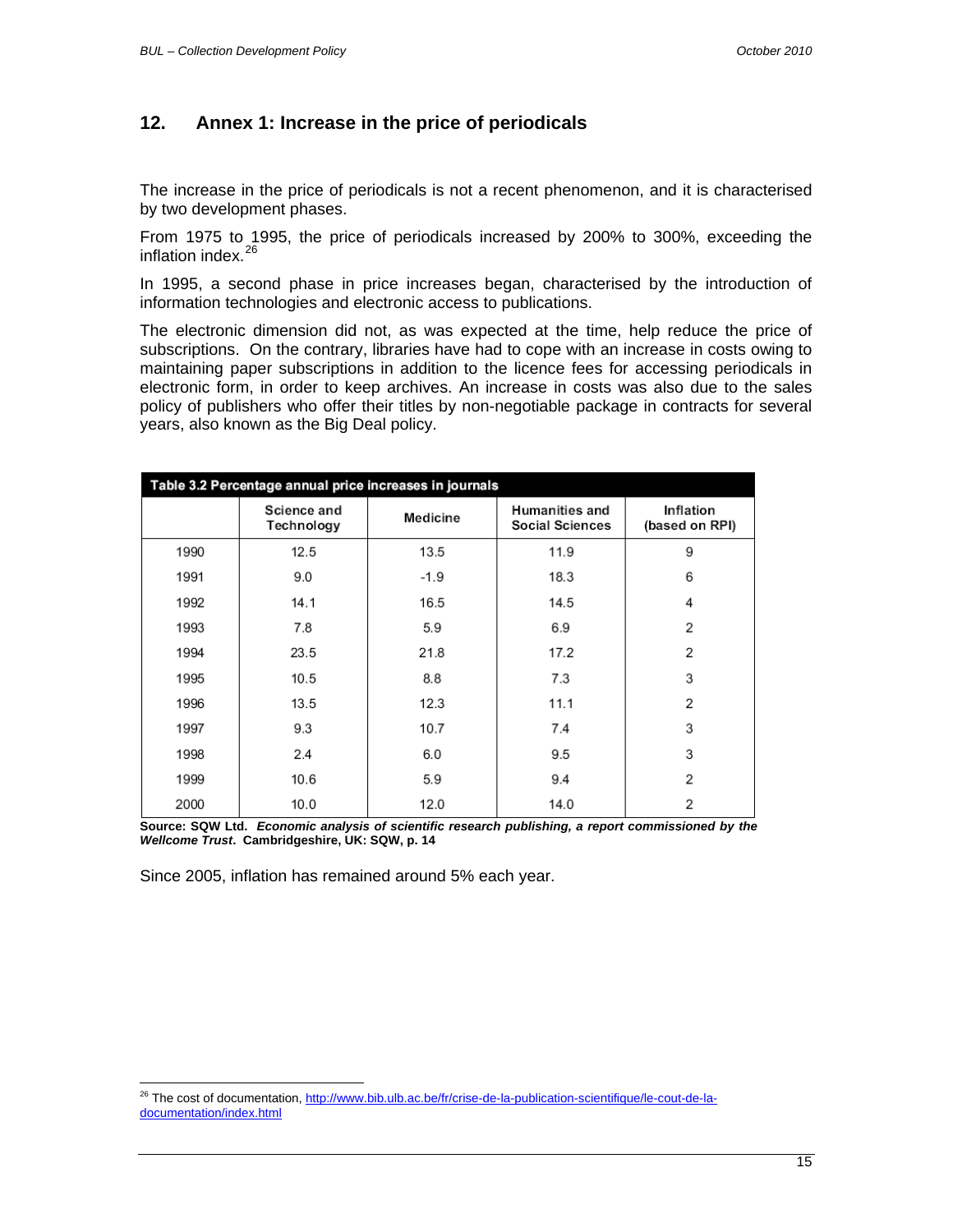## <span id="page-14-0"></span>**12. Annex 1: Increase in the price of periodicals**

The increase in the price of periodicals is not a recent phenomenon, and it is characterised by two development phases.

From 1975 to 1995, the price of periodicals increased by 200% to 300%, exceeding the inflation index.<sup>[26](#page-14-1)</sup>

In 1995, a second phase in price increases began, characterised by the introduction of information technologies and electronic access to publications.

The electronic dimension did not, as was expected at the time, help reduce the price of subscriptions. On the contrary, libraries have had to cope with an increase in costs owing to maintaining paper subscriptions in addition to the licence fees for accessing periodicals in electronic form, in order to keep archives. An increase in costs was also due to the sales policy of publishers who offer their titles by non-negotiable package in contracts for several years, also known as the Big Deal policy.

| Table 3.2 Percentage annual price increases in journals |                           |          |                                          |                             |  |  |
|---------------------------------------------------------|---------------------------|----------|------------------------------------------|-----------------------------|--|--|
|                                                         | Science and<br>Technology | Medicine | <b>Humanities and</b><br>Social Sciences | Inflation<br>(based on RPI) |  |  |
| 1990                                                    | 12.5                      | 13.5     | 11.9                                     | 9                           |  |  |
| 1991                                                    | 9.0                       | $-1.9$   | 18.3                                     | 6                           |  |  |
| 1992                                                    | 14.1                      | 16.5     | 14.5                                     | 4                           |  |  |
| 1993                                                    | 7.8                       | 5.9      | 6.9                                      | 2                           |  |  |
| 1994                                                    | 23.5                      | 21.8     | 17.2                                     | $\overline{2}$              |  |  |
| 1995                                                    | 10.5                      | 8.8      | 7.3                                      | 3                           |  |  |
| 1996                                                    | 13.5                      | 12.3     | 11.1                                     | 2                           |  |  |
| 1997                                                    | 9.3                       | 10.7     | 7.4                                      | 3                           |  |  |
| 1998                                                    | 2.4                       | 6.0      | 9.5                                      | 3                           |  |  |
| 1999                                                    | 10.6                      | 5.9      | 9.4                                      | $\overline{2}$              |  |  |
| 2000                                                    | 10.0                      | 12.0     | 14.0                                     | 2                           |  |  |

**Source: SQW Ltd.** *Economic analysis of scientific research publishing, a report commissioned by the Wellcome Trust***. Cambridgeshire, UK: SQW, p. 14** 

Since 2005, inflation has remained around 5% each year.

<span id="page-14-1"></span> $\overline{a}$ <sup>26</sup> The cost of documentation, [http://www.bib.ulb.ac.be/fr/crise-de-la-publication-scientifique/le-cout-de-la](http://www.bib.ulb.ac.be/fr/crise-de-la-publication-scientifique/le-cout-de-la-documentation/index.html)[documentation/index.html](http://www.bib.ulb.ac.be/fr/crise-de-la-publication-scientifique/le-cout-de-la-documentation/index.html)